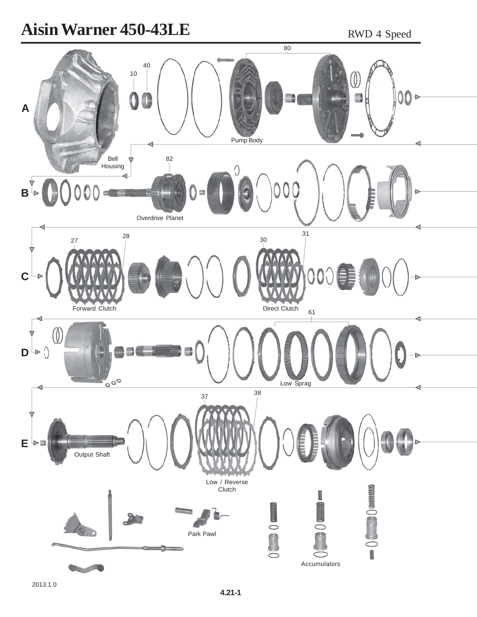## **Aisin Warner 450-43LE** RWD 4 Speed

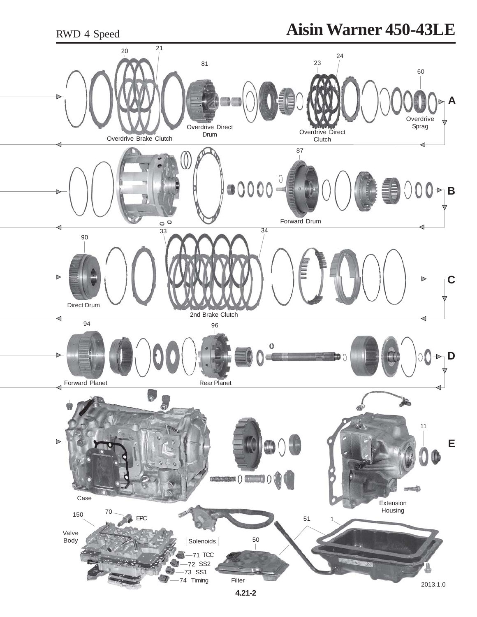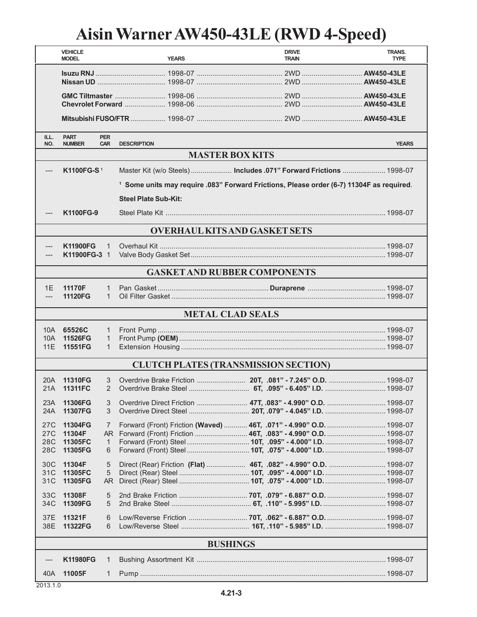## **Aisin Warner AW450-43LE (RWD 4-Speed)**

|                                      | <b>VEHICLE</b><br><b>MODEL</b> |                          | <b>YEARS</b>                                                                                        | <b>DRIVE</b><br><b>TRAIN</b> | TRANS.<br><b>TYPE</b> |  |  |  |  |
|--------------------------------------|--------------------------------|--------------------------|-----------------------------------------------------------------------------------------------------|------------------------------|-----------------------|--|--|--|--|
|                                      |                                |                          |                                                                                                     |                              |                       |  |  |  |  |
|                                      |                                |                          |                                                                                                     |                              |                       |  |  |  |  |
|                                      |                                |                          |                                                                                                     |                              |                       |  |  |  |  |
| ILL.<br>NO.                          | <b>PART</b><br><b>NUMBER</b>   | <b>PER</b><br><b>CAR</b> | <b>DESCRIPTION</b>                                                                                  |                              | <b>YEARS</b>          |  |  |  |  |
|                                      | <b>MASTER BOX KITS</b>         |                          |                                                                                                     |                              |                       |  |  |  |  |
| $---$                                | K1100FG-S <sup>1</sup>         |                          | Master Kit (w/o Steels)  Includes .071" Forward Frictions  1998-07                                  |                              |                       |  |  |  |  |
|                                      |                                |                          | <sup>1</sup> Some units may require .083" Forward Frictions, Please order (6-7) 11304F as required. |                              |                       |  |  |  |  |
|                                      | <b>Steel Plate Sub-Kit:</b>    |                          |                                                                                                     |                              |                       |  |  |  |  |
|                                      |                                |                          |                                                                                                     |                              |                       |  |  |  |  |
| ---                                  | K1100FG-9                      |                          |                                                                                                     |                              |                       |  |  |  |  |
| <b>OVERHAUL KITS AND GASKET SETS</b> |                                |                          |                                                                                                     |                              |                       |  |  |  |  |
| ---                                  | <b>K11900FG</b>                | $\mathbf{1}$             |                                                                                                     |                              |                       |  |  |  |  |
|                                      | K11900FG-3 1                   |                          |                                                                                                     |                              |                       |  |  |  |  |
|                                      |                                |                          |                                                                                                     |                              |                       |  |  |  |  |
|                                      |                                |                          | <b>GASKET AND RUBBER COMPONENTS</b>                                                                 |                              |                       |  |  |  |  |
| 1E                                   | 11170F                         | 1                        |                                                                                                     |                              |                       |  |  |  |  |
| ---                                  | 11120FG                        | $\mathbf{1}$             |                                                                                                     |                              |                       |  |  |  |  |
|                                      |                                |                          | <b>METAL CLAD SEALS</b>                                                                             |                              |                       |  |  |  |  |
| 10A l                                | 65526C                         | 1.                       |                                                                                                     |                              |                       |  |  |  |  |
| 10A                                  | 11526FG                        | 1                        |                                                                                                     |                              |                       |  |  |  |  |
| 11E                                  | 11551FG                        | $\mathbf{1}$             |                                                                                                     |                              |                       |  |  |  |  |
|                                      |                                |                          | <b>CLUTCH PLATES (TRANSMISSION SECTION)</b>                                                         |                              |                       |  |  |  |  |
|                                      |                                |                          |                                                                                                     |                              |                       |  |  |  |  |
| 20A                                  | 11310FG                        | 3                        |                                                                                                     |                              |                       |  |  |  |  |
|                                      | 21A 11311FC                    | 2                        |                                                                                                     |                              |                       |  |  |  |  |
| 23A                                  | 11306FG                        | 3                        |                                                                                                     |                              |                       |  |  |  |  |
| 24A                                  | 11307FG                        | 3                        |                                                                                                     |                              |                       |  |  |  |  |
| 27C                                  | 11304FG                        | 7                        | Forward (Front) Friction (Waved)  46T, .071" - 4.990" O.D.  1998-07                                 |                              |                       |  |  |  |  |
| 27C                                  | 11304F                         |                          |                                                                                                     |                              |                       |  |  |  |  |
| 28C                                  | 11305FC                        | 1                        |                                                                                                     |                              |                       |  |  |  |  |
| 28C                                  | 11305FG                        | 6                        |                                                                                                     |                              |                       |  |  |  |  |
| 30C                                  | 11304F                         | 5                        |                                                                                                     |                              |                       |  |  |  |  |
| 31C                                  | 11305FC                        | 5                        |                                                                                                     |                              |                       |  |  |  |  |
| 31C                                  | 11305FG                        | AR                       |                                                                                                     |                              |                       |  |  |  |  |
| 33C                                  | 11308F                         | 5                        |                                                                                                     |                              |                       |  |  |  |  |
| 34C                                  | 11309FG                        | 5                        |                                                                                                     |                              |                       |  |  |  |  |
| 37E                                  | 11321F                         | 6                        |                                                                                                     |                              |                       |  |  |  |  |
| 38E                                  | 11322FG                        | 6                        |                                                                                                     |                              |                       |  |  |  |  |
|                                      |                                |                          |                                                                                                     |                              |                       |  |  |  |  |
| <b>BUSHINGS</b>                      |                                |                          |                                                                                                     |                              |                       |  |  |  |  |
|                                      | <b>K11980FG</b>                | $\mathbf{1}$             |                                                                                                     |                              |                       |  |  |  |  |
| 40A                                  | 11005F                         | 1                        |                                                                                                     |                              |                       |  |  |  |  |

2013.1.0